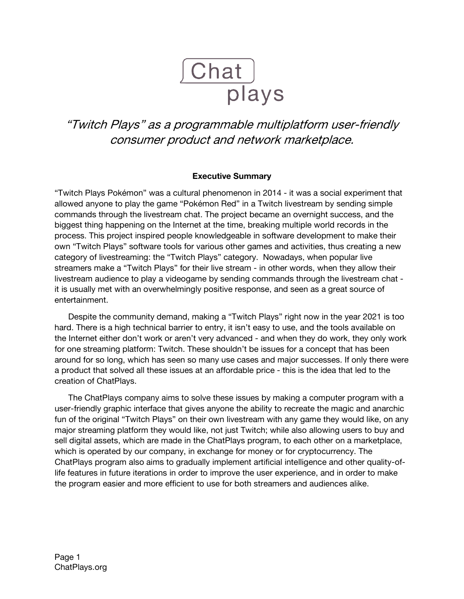

# "Twitch Plays" as a programmable multiplatform user-friendly consumer product and network marketplace.

#### **Executive Summary**

"Twitch Plays Pokémon" was a cultural phenomenon in 2014 - it was a social experiment that allowed anyone to play the game "Pokémon Red" in a Twitch livestream by sending simple commands through the livestream chat. The project became an overnight success, and the biggest thing happening on the Internet at the time, breaking multiple world records in the process. This project inspired people knowledgeable in software development to make their own "Twitch Plays" software tools for various other games and activities, thus creating a new category of livestreaming: the "Twitch Plays" category. Nowadays, when popular live streamers make a "Twitch Plays" for their live stream - in other words, when they allow their livestream audience to play a videogame by sending commands through the livestream chat it is usually met with an overwhelmingly positive response, and seen as a great source of entertainment.

Despite the community demand, making a "Twitch Plays" right now in the year 2021 is too hard. There is a high technical barrier to entry, it isn't easy to use, and the tools available on the Internet either don't work or aren't very advanced - and when they do work, they only work for one streaming platform: Twitch. These shouldn't be issues for a concept that has been around for so long, which has seen so many use cases and major successes. If only there were a product that solved all these issues at an affordable price - this is the idea that led to the creation of ChatPlays.

The ChatPlays company aims to solve these issues by making a computer program with a user-friendly graphic interface that gives anyone the ability to recreate the magic and anarchic fun of the original "Twitch Plays" on their own livestream with any game they would like, on any major streaming platform they would like, not just Twitch; while also allowing users to buy and sell digital assets, which are made in the ChatPlays program, to each other on a marketplace, which is operated by our company, in exchange for money or for cryptocurrency. The ChatPlays program also aims to gradually implement artificial intelligence and other quality-oflife features in future iterations in order to improve the user experience, and in order to make the program easier and more efficient to use for both streamers and audiences alike.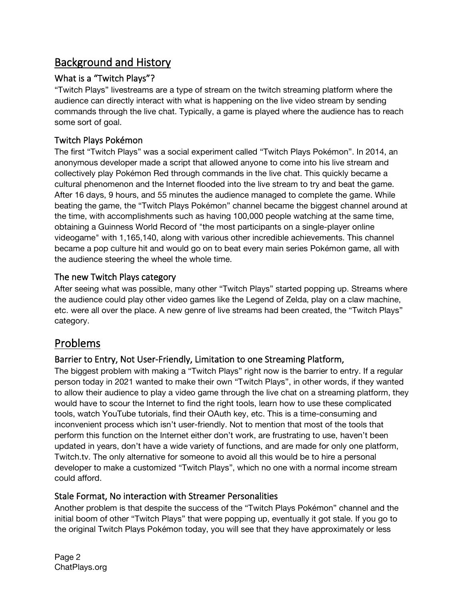# Background and History

# What is a "Twitch Plays"?

"Twitch Plays" livestreams are a type of stream on the twitch streaming platform where the audience can directly interact with what is happening on the live video stream by sending commands through the live chat. Typically, a game is played where the audience has to reach some sort of goal.

### Twitch Plays Pokémon

The first "Twitch Plays" was a social experiment called "Twitch Plays Pokémon". In 2014, an anonymous developer made a script that allowed anyone to come into his live stream and collectively play Pokémon Red through commands in the live chat. This quickly became a cultural phenomenon and the Internet flooded into the live stream to try and beat the game. After 16 days, 9 hours, and 55 minutes the audience managed to complete the game. While beating the game, the "Twitch Plays Pokémon" channel became the biggest channel around at the time, with accomplishments such as having 100,000 people watching at the same time, obtaining a Guinness World Record of "the most participants on a single-player online videogame" with 1,165,140, along with various other incredible achievements. This channel became a pop culture hit and would go on to beat every main series Pokémon game, all with the audience steering the wheel the whole time.

#### The new Twitch Plays category

After seeing what was possible, many other "Twitch Plays" started popping up. Streams where the audience could play other video games like the Legend of Zelda, play on a claw machine, etc. were all over the place. A new genre of live streams had been created, the "Twitch Plays" category.

# Problems

### Barrier to Entry, Not User-Friendly, Limitation to one Streaming Platform,

The biggest problem with making a "Twitch Plays" right now is the barrier to entry. If a regular person today in 2021 wanted to make their own "Twitch Plays", in other words, if they wanted to allow their audience to play a video game through the live chat on a streaming platform, they would have to scour the Internet to find the right tools, learn how to use these complicated tools, watch YouTube tutorials, find their OAuth key, etc. This is a time-consuming and inconvenient process which isn't user-friendly. Not to mention that most of the tools that perform this function on the Internet either don't work, are frustrating to use, haven't been updated in years, don't have a wide variety of functions, and are made for only one platform, Twitch.tv. The only alternative for someone to avoid all this would be to hire a personal developer to make a customized "Twitch Plays", which no one with a normal income stream could afford.

#### Stale Format, No interaction with Streamer Personalities

Another problem is that despite the success of the "Twitch Plays Pokémon" channel and the initial boom of other "Twitch Plays" that were popping up, eventually it got stale. If you go to the original Twitch Plays Pokémon today, you will see that they have approximately or less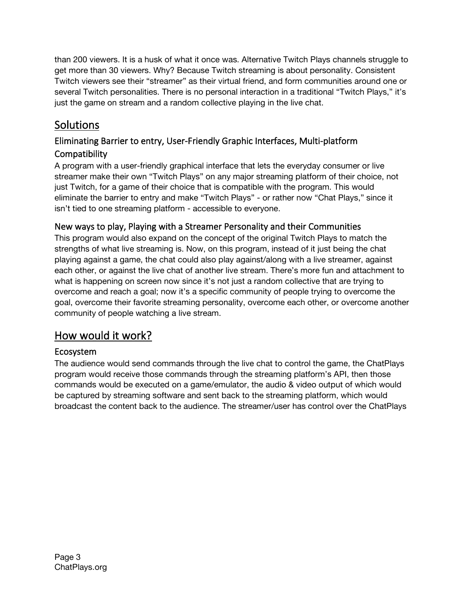than 200 viewers. It is a husk of what it once was. Alternative Twitch Plays channels struggle to get more than 30 viewers. Why? Because Twitch streaming is about personality. Consistent Twitch viewers see their "streamer" as their virtual friend, and form communities around one or several Twitch personalities. There is no personal interaction in a traditional "Twitch Plays," it's just the game on stream and a random collective playing in the live chat.

# **Solutions**

# Eliminating Barrier to entry, User-Friendly Graphic Interfaces, Multi-platform **Compatibility**

A program with a user-friendly graphical interface that lets the everyday consumer or live streamer make their own "Twitch Plays" on any major streaming platform of their choice, not just Twitch, for a game of their choice that is compatible with the program. This would eliminate the barrier to entry and make "Twitch Plays" - or rather now "Chat Plays," since it isn't tied to one streaming platform - accessible to everyone.

## New ways to play, Playing with a Streamer Personality and their Communities

This program would also expand on the concept of the original Twitch Plays to match the strengths of what live streaming is. Now, on this program, instead of it just being the chat playing against a game, the chat could also play against/along with a live streamer, against each other, or against the live chat of another live stream. There's more fun and attachment to what is happening on screen now since it's not just a random collective that are trying to overcome and reach a goal; now it's a specific community of people trying to overcome the goal, overcome their favorite streaming personality, overcome each other, or overcome another community of people watching a live stream.

# How would it work?

### Ecosystem

The audience would send commands through the live chat to control the game, the ChatPlays program would receive those commands through the streaming platform's API, then those commands would be executed on a game/emulator, the audio & video output of which would be captured by streaming software and sent back to the streaming platform, which would broadcast the content back to the audience. The streamer/user has control over the ChatPlays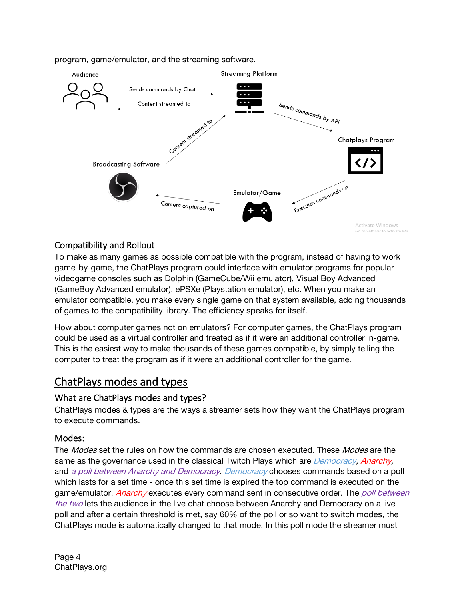#### program, game/emulator, and the streaming software.



#### Compatibility and Rollout

To make as many games as possible compatible with the program, instead of having to work game-by-game, the ChatPlays program could interface with emulator programs for popular videogame consoles such as Dolphin (GameCube/Wii emulator), Visual Boy Advanced (GameBoy Advanced emulator), ePSXe (Playstation emulator), etc. When you make an emulator compatible, you make every single game on that system available, adding thousands of games to the compatibility library. The efficiency speaks for itself.

How about computer games not on emulators? For computer games, the ChatPlays program could be used as a virtual controller and treated as if it were an additional controller in-game. This is the easiest way to make thousands of these games compatible, by simply telling the computer to treat the program as if it were an additional controller for the game.

# ChatPlays modes and types

#### What are ChatPlays modes and types?

ChatPlays modes & types are the ways a streamer sets how they want the ChatPlays program to execute commands.

#### Modes:

The *Modes* set the rules on how the commands are chosen executed. These *Modes* are the same as the governance used in the classical Twitch Plays which are *Democracy, Anarchy*, and a poll between Anarchy and Democracy. Democracy chooses commands based on a poll which lasts for a set time - once this set time is expired the top command is executed on the game/emulator. Anarchy executes every command sent in consecutive order. The poll between the two lets the audience in the live chat choose between Anarchy and Democracy on a live poll and after a certain threshold is met, say 60% of the poll or so want to switch modes, the ChatPlays mode is automatically changed to that mode. In this poll mode the streamer must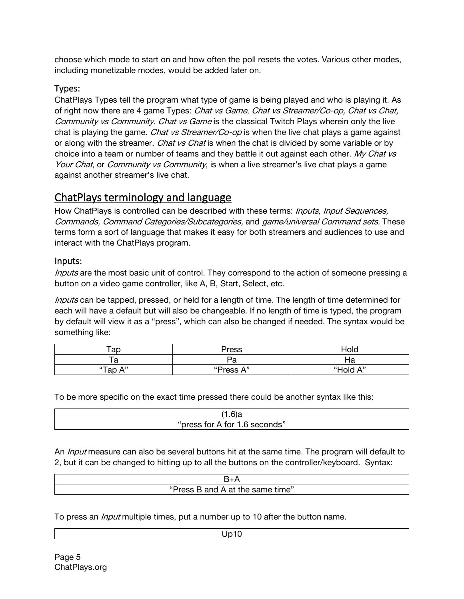choose which mode to start on and how often the poll resets the votes. Various other modes, including monetizable modes, would be added later on.

### Types:

ChatPlays Types tell the program what type of game is being played and who is playing it. As of right now there are 4 game Types: Chat vs Game, Chat vs Streamer/Co-op, Chat vs Chat, Community vs Community. Chat vs Game is the classical Twitch Plays wherein only the live chat is playing the game. *Chat vs Streamer/Co-op* is when the live chat plays a game against or along with the streamer. Chat vs Chat is when the chat is divided by some variable or by choice into a team or number of teams and they battle it out against each other. My Chat vs Your Chat, or Community vs Community, is when a live streamer's live chat plays a game against another streamer's live chat.

# ChatPlays terminology and language

How ChatPlays is controlled can be described with these terms: *Inputs, Input Sequences,* Commands, Command Categories/Subcategories, and game/universal Command sets. These terms form a sort of language that makes it easy for both streamers and audiences to use and interact with the ChatPlays program.

#### Inputs:

*Inputs* are the most basic unit of control. They correspond to the action of someone pressing a button on a video game controller, like A, B, Start, Select, etc.

Inputs can be tapped, pressed, or held for a length of time. The length of time determined for each will have a default but will also be changeable. If no length of time is typed, the program by default will view it as a "press", which can also be changed if needed. The syntax would be something like:

| ap      | $P$ ress            | Hold     |  |
|---------|---------------------|----------|--|
| a       | D <sub>o</sub><br>ີ | Ηа       |  |
| "Tap A" | "Press A"           | "Hold A" |  |

To be more specific on the exact time pressed there could be another syntax like this:

| $1 - 22$<br>$lim =$<br>onas<br>. C ) T<br>н<br>$\cdots$ |
|---------------------------------------------------------|

An *Input* measure can also be several buttons hit at the same time. The program will default to 2, but it can be changed to hitting up to all the buttons on the controller/keyboard. Syntax:

| "Press .<br>A at the same time"<br>and |
|----------------------------------------|

To press an *Input* multiple times, put a number up to 10 after the button name.

| . |  |
|---|--|
|   |  |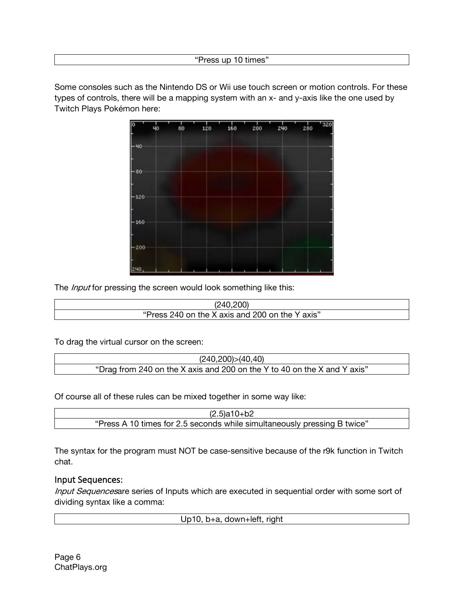#### "Press up 10 times"

Some consoles such as the Nintendo DS or Wii use touch screen or motion controls. For these types of controls, there will be a mapping system with an x- and y-axis like the one used by Twitch Plays Pokémon here:

|     | 40 | 80 | 120 | 160 | 200 | 240 | 280 | 1320 |
|-----|----|----|-----|-----|-----|-----|-----|------|
| 40  |    |    |     |     |     |     |     |      |
| 80  |    |    |     |     |     |     |     |      |
|     |    |    |     |     |     |     |     |      |
| 120 |    |    |     |     |     |     |     |      |
| 160 |    |    |     |     |     |     |     |      |
|     |    |    |     |     |     |     |     |      |
| 200 |    |    |     |     |     |     |     |      |
| 240 |    |    |     |     |     |     |     |      |

The *Input* for pressing the screen would look something like this:

| (240, 200)                                      |  |
|-------------------------------------------------|--|
| "Press 240 on the X axis and 200 on the Y axis" |  |

To drag the virtual cursor on the screen:

| $(240,200)$ $>(40,40)$                                                   |  |
|--------------------------------------------------------------------------|--|
| "Drag from 240 on the X axis and 200 on the Y to 40 on the X and Y axis" |  |

Of course all of these rules can be mixed together in some way like:

| $(2.5)a10+b2$                                                            |  |
|--------------------------------------------------------------------------|--|
| "Press A 10 times for 2.5 seconds while simultaneously pressing B twice" |  |

The syntax for the program must NOT be case-sensitive because of the r9k function in Twitch chat.

#### Input Sequences:

Input Sequencesare series of Inputs which are executed in sequential order with some sort of dividing syntax like a comma:

Up10, b+a, down+left, right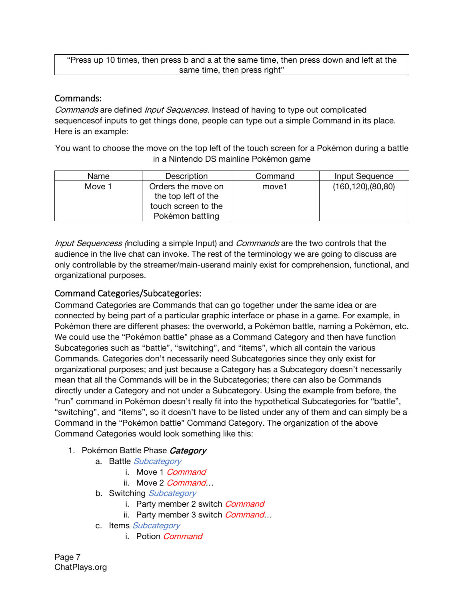"Press up 10 times, then press b and a at the same time, then press down and left at the same time, then press right"

#### Commands:

Commands are defined *Input Sequences*. Instead of having to type out complicated sequencesof inputs to get things done, people can type out a simple Command in its place. Here is an example:

You want to choose the move on the top left of the touch screen for a Pokémon during a battle in a Nintendo DS mainline Pokémon game

| Name   | Description                                                                          | Command | Input Sequence       |
|--------|--------------------------------------------------------------------------------------|---------|----------------------|
| Move 1 | Orders the move on<br>the top left of the<br>touch screen to the<br>Pokémon battling | move1   | (160, 120), (80, 80) |

Input Sequencess (including a simple Input) and *Commands* are the two controls that the audience in the live chat can invoke. The rest of the terminology we are going to discuss are only controllable by the streamer/main-userand mainly exist for comprehension, functional, and organizational purposes.

#### Command Categories/Subcategories:

Command Categories are Commands that can go together under the same idea or are connected by being part of a particular graphic interface or phase in a game. For example, in Pokémon there are different phases: the overworld, a Pokémon battle, naming a Pokémon, etc. We could use the "Pokémon battle" phase as a Command Category and then have function Subcategories such as "battle", "switching", and "items", which all contain the various Commands. Categories don't necessarily need Subcategories since they only exist for organizational purposes; and just because a Category has a Subcategory doesn't necessarily mean that all the Commands will be in the Subcategories; there can also be Commands directly under a Category and not under a Subcategory. Using the example from before, the "run" command in Pokémon doesn't really fit into the hypothetical Subcategories for "battle", "switching", and "items", so it doesn't have to be listed under any of them and can simply be a Command in the "Pokémon battle" Command Category. The organization of the above Command Categories would look something like this:

#### 1. Pokémon Battle Phase Category

- a. Battle Subcategory
	- i. Move 1 *Command*
	- ii. Move 2 *Command...*
- b. Switching Subcategory
	- i. Party member 2 switch *Command*
	- ii. Party member 3 switch *Command...*
- c. Items Subcategory
	- i. Potion *Command*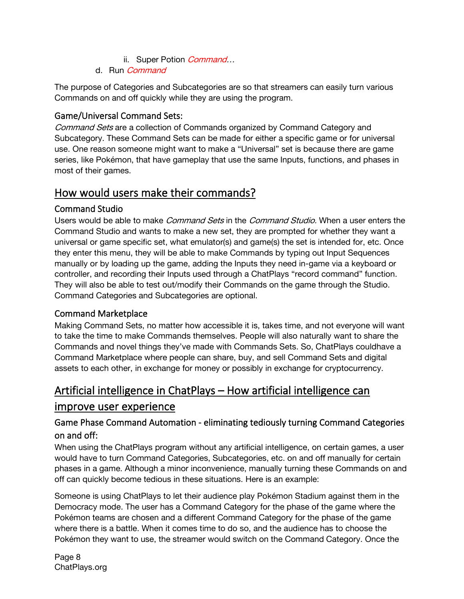- ii. Super Potion *Command...*
- d. Run *Command*

The purpose of Categories and Subcategories are so that streamers can easily turn various Commands on and off quickly while they are using the program.

#### Game/Universal Command Sets:

Command Sets are a collection of Commands organized by Command Category and Subcategory. These Command Sets can be made for either a specific game or for universal use. One reason someone might want to make a "Universal" set is because there are game series, like Pokémon, that have gameplay that use the same Inputs, functions, and phases in most of their games.

# How would users make their commands?

#### Command Studio

Users would be able to make *Command Sets* in the *Command Studio*. When a user enters the Command Studio and wants to make a new set, they are prompted for whether they want a universal or game specific set, what emulator(s) and game(s) the set is intended for, etc. Once they enter this menu, they will be able to make Commands by typing out Input Sequences manually or by loading up the game, adding the Inputs they need in-game via a keyboard or controller, and recording their Inputs used through a ChatPlays "record command" function. They will also be able to test out/modify their Commands on the game through the Studio. Command Categories and Subcategories are optional.

#### Command Marketplace

Making Command Sets, no matter how accessible it is, takes time, and not everyone will want to take the time to make Commands themselves. People will also naturally want to share the Commands and novel things they've made with Commands Sets. So, ChatPlays couldhave a Command Marketplace where people can share, buy, and sell Command Sets and digital assets to each other, in exchange for money or possibly in exchange for cryptocurrency.

# Artificial intelligence in ChatPlays – How artificial intelligence can

# improve user experience

### Game Phase Command Automation - eliminating tediously turning Command Categories on and off:

When using the ChatPlays program without any artificial intelligence, on certain games, a user would have to turn Command Categories, Subcategories, etc. on and off manually for certain phases in a game. Although a minor inconvenience, manually turning these Commands on and off can quickly become tedious in these situations. Here is an example:

Someone is using ChatPlays to let their audience play Pokémon Stadium against them in the Democracy mode. The user has a Command Category for the phase of the game where the Pokémon teams are chosen and a different Command Category for the phase of the game where there is a battle. When it comes time to do so, and the audience has to choose the Pokémon they want to use, the streamer would switch on the Command Category. Once the

Page 8 ChatPlays.org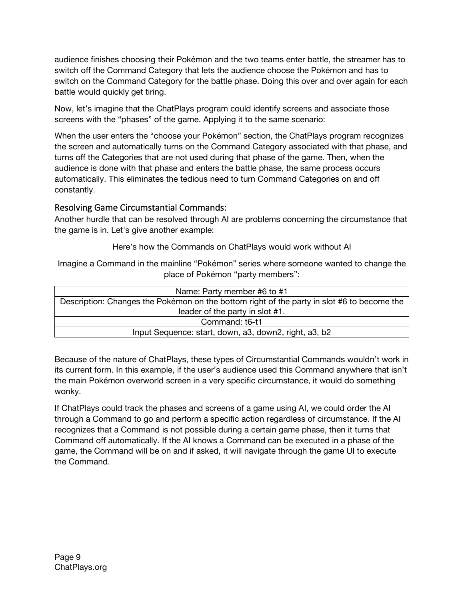audience finishes choosing their Pokémon and the two teams enter battle, the streamer has to switch off the Command Category that lets the audience choose the Pokémon and has to switch on the Command Category for the battle phase. Doing this over and over again for each battle would quickly get tiring.

Now, let's imagine that the ChatPlays program could identify screens and associate those screens with the "phases" of the game. Applying it to the same scenario:

When the user enters the "choose your Pokémon" section, the ChatPlays program recognizes the screen and automatically turns on the Command Category associated with that phase, and turns off the Categories that are not used during that phase of the game. Then, when the audience is done with that phase and enters the battle phase, the same process occurs automatically. This eliminates the tedious need to turn Command Categories on and off constantly.

#### Resolving Game Circumstantial Commands:

Another hurdle that can be resolved through AI are problems concerning the circumstance that the game is in. Let's give another example:

Here's how the Commands on ChatPlays would work without AI

Imagine a Command in the mainline "Pokémon" series where someone wanted to change the place of Pokémon "party members":

| Name: Party member #6 to #1                                                                |  |  |  |  |
|--------------------------------------------------------------------------------------------|--|--|--|--|
| Description: Changes the Pokémon on the bottom right of the party in slot #6 to become the |  |  |  |  |
| leader of the party in slot #1.                                                            |  |  |  |  |
| Command: t6-t1                                                                             |  |  |  |  |
| Input Sequence: start, down, a3, down2, right, a3, b2                                      |  |  |  |  |

Because of the nature of ChatPlays, these types of Circumstantial Commands wouldn't work in its current form. In this example, if the user's audience used this Command anywhere that isn't the main Pokémon overworld screen in a very specific circumstance, it would do something wonky.

If ChatPlays could track the phases and screens of a game using AI, we could order the AI through a Command to go and perform a specific action regardless of circumstance. If the AI recognizes that a Command is not possible during a certain game phase, then it turns that Command off automatically. If the AI knows a Command can be executed in a phase of the game, the Command will be on and if asked, it will navigate through the game UI to execute the Command.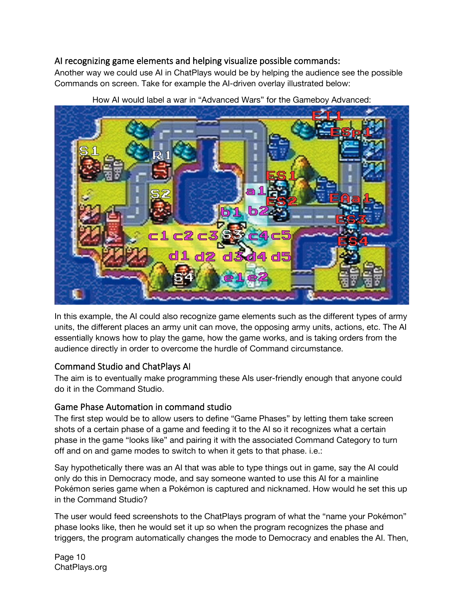#### AI recognizing game elements and helping visualize possible commands:

Another way we could use AI in ChatPlays would be by helping the audience see the possible Commands on screen. Take for example the AI-driven overlay illustrated below:



How AI would label a war in "Advanced Wars" for the Gameboy Advanced:

In this example, the AI could also recognize game elements such as the different types of army units, the different places an army unit can move, the opposing army units, actions, etc. The AI essentially knows how to play the game, how the game works, and is taking orders from the audience directly in order to overcome the hurdle of Command circumstance.

#### Command Studio and ChatPlays AI

The aim is to eventually make programming these AIs user-friendly enough that anyone could do it in the Command Studio.

#### Game Phase Automation in command studio

The first step would be to allow users to define "Game Phases" by letting them take screen shots of a certain phase of a game and feeding it to the AI so it recognizes what a certain phase in the game "looks like" and pairing it with the associated Command Category to turn off and on and game modes to switch to when it gets to that phase. i.e.:

Say hypothetically there was an AI that was able to type things out in game, say the AI could only do this in Democracy mode, and say someone wanted to use this AI for a mainline Pokémon series game when a Pokémon is captured and nicknamed. How would he set this up in the Command Studio?

The user would feed screenshots to the ChatPlays program of what the "name your Pokémon" phase looks like, then he would set it up so when the program recognizes the phase and triggers, the program automatically changes the mode to Democracy and enables the AI. Then,

Page 10 ChatPlays.org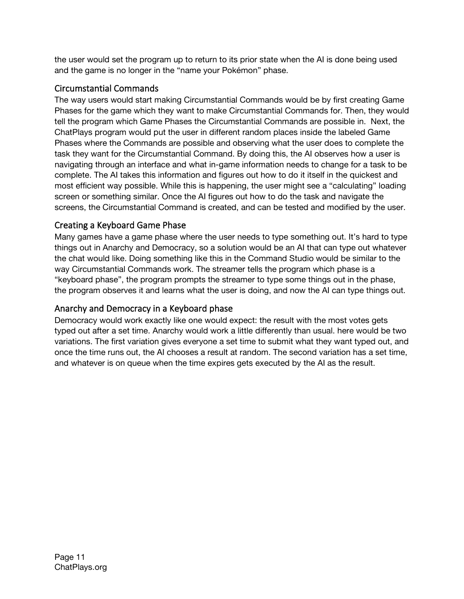the user would set the program up to return to its prior state when the AI is done being used and the game is no longer in the "name your Pokémon" phase.

### Circumstantial Commands

The way users would start making Circumstantial Commands would be by first creating Game Phases for the game which they want to make Circumstantial Commands for. Then, they would tell the program which Game Phases the Circumstantial Commands are possible in. Next, the ChatPlays program would put the user in different random places inside the labeled Game Phases where the Commands are possible and observing what the user does to complete the task they want for the Circumstantial Command. By doing this, the AI observes how a user is navigating through an interface and what in-game information needs to change for a task to be complete. The AI takes this information and figures out how to do it itself in the quickest and most efficient way possible. While this is happening, the user might see a "calculating" loading screen or something similar. Once the AI figures out how to do the task and navigate the screens, the Circumstantial Command is created, and can be tested and modified by the user.

### Creating a Keyboard Game Phase

Many games have a game phase where the user needs to type something out. It's hard to type things out in Anarchy and Democracy, so a solution would be an AI that can type out whatever the chat would like. Doing something like this in the Command Studio would be similar to the way Circumstantial Commands work. The streamer tells the program which phase is a "keyboard phase", the program prompts the streamer to type some things out in the phase, the program observes it and learns what the user is doing, and now the AI can type things out.

### Anarchy and Democracy in a Keyboard phase

Democracy would work exactly like one would expect: the result with the most votes gets typed out after a set time. Anarchy would work a little differently than usual. here would be two variations. The first variation gives everyone a set time to submit what they want typed out, and once the time runs out, the AI chooses a result at random. The second variation has a set time, and whatever is on queue when the time expires gets executed by the AI as the result.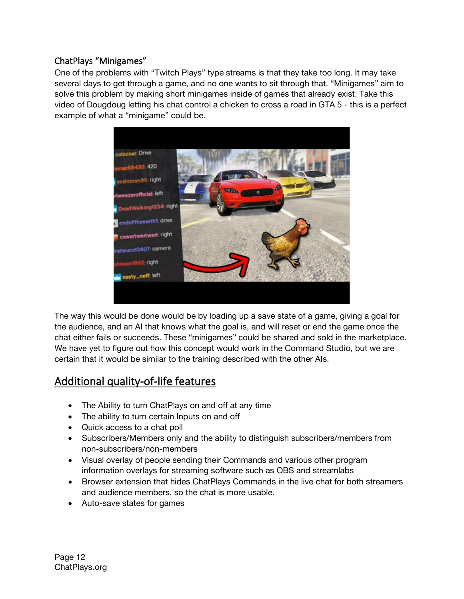### ChatPlays "Minigames"

One of the problems with "Twitch Plays" type streams is that they take too long. It may take several days to get through a game, and no one wants to sit through that. "Minigames" aim to solve this problem by making short minigames inside of games that already exist. Take this video of Dougdoug letting his chat control a chicken to cross a road in GTA 5 - this is a perfect example of what a "minigame" could be.



The way this would be done would be by loading up a save state of a game, giving a goal for the audience, and an AI that knows what the goal is, and will reset or end the game once the chat either fails or succeeds. These "minigames" could be shared and sold in the marketplace. We have yet to figure out how this concept would work in the Command Studio, but we are certain that it would be similar to the training described with the other AIs.

# Additional quality-of-life features

- The Ability to turn ChatPlays on and off at any time
- The ability to turn certain Inputs on and off
- Quick access to a chat poll
- Subscribers/Members only and the ability to distinguish subscribers/members from non-subscribers/non-members
- Visual overlay of people sending their Commands and various other program information overlays for streaming software such as OBS and streamlabs
- Browser extension that hides ChatPlays Commands in the live chat for both streamers and audience members, so the chat is more usable.
- Auto-save states for games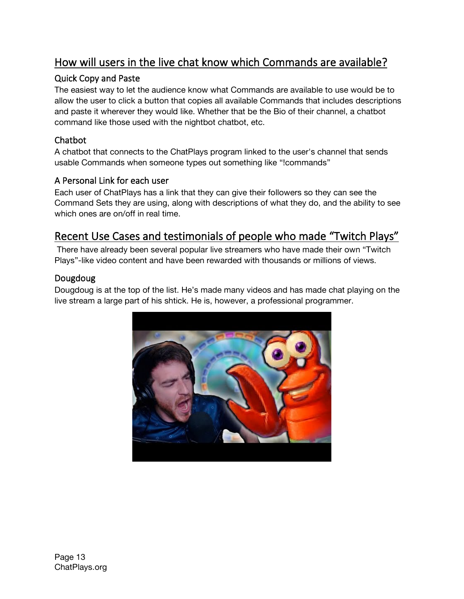# How will users in the live chat know which Commands are available?

### Quick Copy and Paste

The easiest way to let the audience know what Commands are available to use would be to allow the user to click a button that copies all available Commands that includes descriptions and paste it wherever they would like. Whether that be the Bio of their channel, a chatbot command like those used with the nightbot chatbot, etc.

### Chatbot

A chatbot that connects to the ChatPlays program linked to the user's channel that sends usable Commands when someone types out something like "!commands"

#### A Personal Link for each user

Each user of ChatPlays has a link that they can give their followers so they can see the Command Sets they are using, along with descriptions of what they do, and the ability to see which ones are on/off in real time.

# Recent Use Cases and testimonials of people who made "Twitch Plays"

There have already been several popular live streamers who have made their own "Twitch Plays"-like video content and have been rewarded with thousands or millions of views.

#### Dougdoug

Dougdoug is at the top of the list. He's made many videos and has made chat playing on the live stream a large part of his shtick. He is, however, a professional programmer.

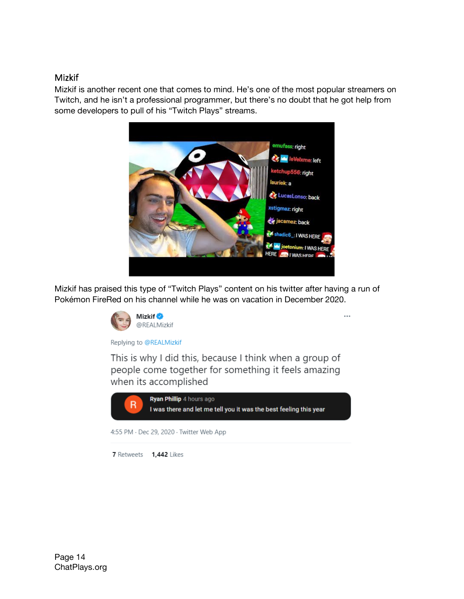#### Mizkif

Mizkif is another recent one that comes to mind. He's one of the most popular streamers on Twitch, and he isn't a professional programmer, but there's no doubt that he got help from some developers to pull of his "Twitch Plays" streams.



Mizkif has praised this type of "Twitch Plays" content on his twitter after having a run of Pokémon FireRed on his channel while he was on vacation in December 2020.



Replying to @REALMizkif

This is why I did this, because I think when a group of people come together for something it feels amazing when its accomplished